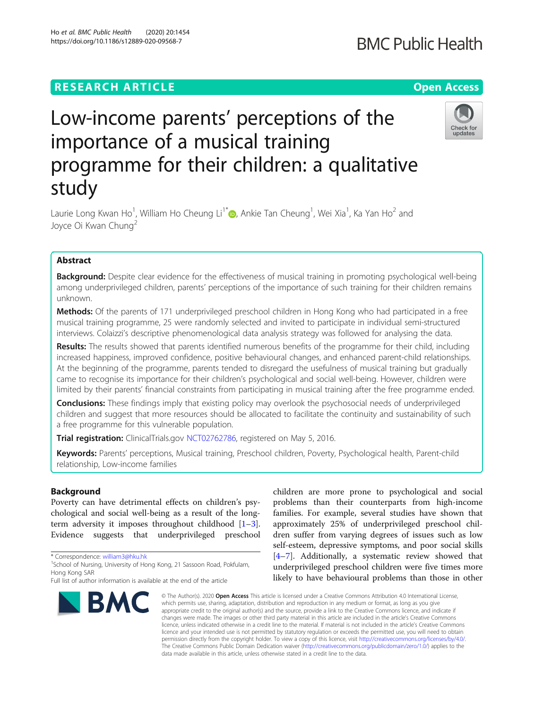# **RESEARCH ARTICLE Example 2014 12:30 The Contract of Contract ACCESS**

# Low-income parents' perceptions of the importance of a musical training programme for their children: a qualitative study

Laurie Long Kwan Ho<sup>1</sup>[,](http://orcid.org/0000-0002-2562-769X) William Ho Cheung Li<sup>1\*</sup>�, Ankie Tan Cheung<sup>1</sup>, Wei Xia<sup>1</sup>, Ka Yan Ho<sup>2</sup> and Joyce Oi Kwan Chung<sup>2</sup>

# Abstract

Background: Despite clear evidence for the effectiveness of musical training in promoting psychological well-being among underprivileged children, parents' perceptions of the importance of such training for their children remains unknown.

Methods: Of the parents of 171 underprivileged preschool children in Hong Kong who had participated in a free musical training programme, 25 were randomly selected and invited to participate in individual semi-structured interviews. Colaizzi's descriptive phenomenological data analysis strategy was followed for analysing the data.

Results: The results showed that parents identified numerous benefits of the programme for their child, including increased happiness, improved confidence, positive behavioural changes, and enhanced parent-child relationships. At the beginning of the programme, parents tended to disregard the usefulness of musical training but gradually came to recognise its importance for their children's psychological and social well-being. However, children were limited by their parents' financial constraints from participating in musical training after the free programme ended.

**Conclusions:** These findings imply that existing policy may overlook the psychosocial needs of underprivileged children and suggest that more resources should be allocated to facilitate the continuity and sustainability of such a free programme for this vulnerable population.

Trial registration: ClinicalTrials.gov [NCT02762786](https://clinicaltrials.gov/ct2/show/NCT02762786), registered on May 5, 2016.

Keywords: Parents' perceptions, Musical training, Preschool children, Poverty, Psychological health, Parent-child relationship, Low-income families

# Background

Poverty can have detrimental effects on children's psychological and social well-being as a result of the longterm adversity it imposes throughout childhood  $[1-3]$  $[1-3]$  $[1-3]$  $[1-3]$ . Evidence suggests that underprivileged preschool

\* Correspondence: [william3@hku.hk](mailto:william3@hku.hk) <sup>1</sup>

children are more prone to psychological and social problems than their counterparts from high-income families. For example, several studies have shown that approximately 25% of underprivileged preschool children suffer from varying degrees of issues such as low self-esteem, depressive symptoms, and poor social skills [[4](#page-6-0)–[7\]](#page-6-0). Additionally, a systematic review showed that underprivileged preschool children were five times more likely to have behavioural problems than those in other

© The Author(s), 2020 **Open Access** This article is licensed under a Creative Commons Attribution 4.0 International License, which permits use, sharing, adaptation, distribution and reproduction in any medium or format, as long as you give appropriate credit to the original author(s) and the source, provide a link to the Creative Commons licence, and indicate if changes were made. The images or other third party material in this article are included in the article's Creative Commons licence, unless indicated otherwise in a credit line to the material. If material is not included in the article's Creative Commons licence and your intended use is not permitted by statutory regulation or exceeds the permitted use, you will need to obtain permission directly from the copyright holder. To view a copy of this licence, visit [http://creativecommons.org/licenses/by/4.0/.](http://creativecommons.org/licenses/by/4.0/) The Creative Commons Public Domain Dedication waiver [\(http://creativecommons.org/publicdomain/zero/1.0/](http://creativecommons.org/publicdomain/zero/1.0/)) applies to the data made available in this article, unless otherwise stated in a credit line to the data.

Ho et al. BMC Public Health (2020) 20:1454 https://doi.org/10.1186/s12889-020-09568-7





# **BMC Public Health**

<sup>&</sup>lt;sup>1</sup>School of Nursing, University of Hong Kong, 21 Sassoon Road, Pokfulam, Hong Kong SAR

Full list of author information is available at the end of the article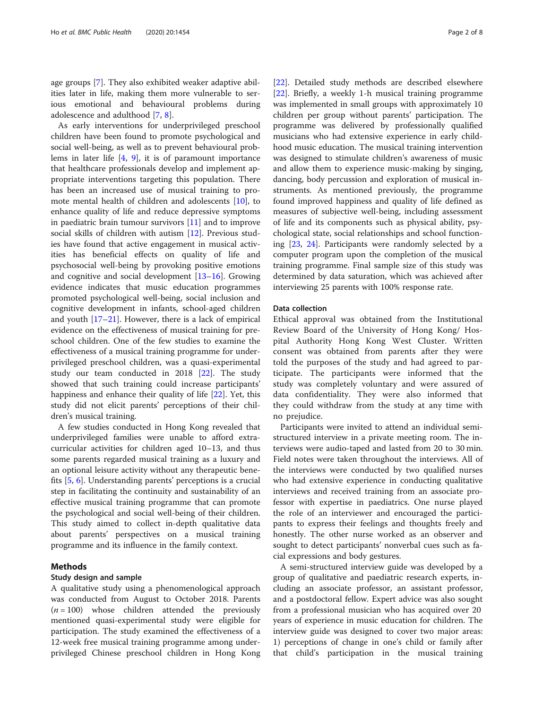age groups [\[7](#page-6-0)]. They also exhibited weaker adaptive abilities later in life, making them more vulnerable to serious emotional and behavioural problems during adolescence and adulthood [[7,](#page-6-0) [8\]](#page-6-0).

As early interventions for underprivileged preschool children have been found to promote psychological and social well-being, as well as to prevent behavioural problems in later life  $[4, 9]$  $[4, 9]$  $[4, 9]$ , it is of paramount importance that healthcare professionals develop and implement appropriate interventions targeting this population. There has been an increased use of musical training to promote mental health of children and adolescents [\[10](#page-6-0)], to enhance quality of life and reduce depressive symptoms in paediatric brain tumour survivors [[11](#page-6-0)] and to improve social skills of children with autism [\[12\]](#page-6-0). Previous studies have found that active engagement in musical activities has beneficial effects on quality of life and psychosocial well-being by provoking positive emotions and cognitive and social development  $[13–16]$  $[13–16]$  $[13–16]$ . Growing evidence indicates that music education programmes promoted psychological well-being, social inclusion and cognitive development in infants, school-aged children and youth  $[17–21]$  $[17–21]$  $[17–21]$  $[17–21]$  $[17–21]$ . However, there is a lack of empirical evidence on the effectiveness of musical training for preschool children. One of the few studies to examine the effectiveness of a musical training programme for underprivileged preschool children, was a quasi-experimental study our team conducted in 2018 [[22](#page-6-0)]. The study showed that such training could increase participants' happiness and enhance their quality of life [\[22](#page-6-0)]. Yet, this study did not elicit parents' perceptions of their children's musical training.

A few studies conducted in Hong Kong revealed that underprivileged families were unable to afford extracurricular activities for children aged 10–13, and thus some parents regarded musical training as a luxury and an optional leisure activity without any therapeutic benefits [\[5](#page-6-0), [6\]](#page-6-0). Understanding parents' perceptions is a crucial step in facilitating the continuity and sustainability of an effective musical training programme that can promote the psychological and social well-being of their children. This study aimed to collect in-depth qualitative data about parents' perspectives on a musical training programme and its influence in the family context.

# Methods

# Study design and sample

A qualitative study using a phenomenological approach was conducted from August to October 2018. Parents  $(n = 100)$  whose children attended the previously mentioned quasi-experimental study were eligible for participation. The study examined the effectiveness of a 12-week free musical training programme among underprivileged Chinese preschool children in Hong Kong

[[22\]](#page-6-0). Detailed study methods are described elsewhere [[22\]](#page-6-0). Briefly, a weekly 1-h musical training programme was implemented in small groups with approximately 10 children per group without parents' participation. The programme was delivered by professionally qualified musicians who had extensive experience in early childhood music education. The musical training intervention was designed to stimulate children's awareness of music and allow them to experience music-making by singing, dancing, body percussion and exploration of musical instruments. As mentioned previously, the programme found improved happiness and quality of life defined as measures of subjective well-being, including assessment of life and its components such as physical ability, psychological state, social relationships and school functioning [\[23](#page-6-0), [24\]](#page-7-0). Participants were randomly selected by a computer program upon the completion of the musical training programme. Final sample size of this study was determined by data saturation, which was achieved after interviewing 25 parents with 100% response rate.

# Data collection

Ethical approval was obtained from the Institutional Review Board of the University of Hong Kong/ Hospital Authority Hong Kong West Cluster. Written consent was obtained from parents after they were told the purposes of the study and had agreed to participate. The participants were informed that the study was completely voluntary and were assured of data confidentiality. They were also informed that they could withdraw from the study at any time with no prejudice.

Participants were invited to attend an individual semistructured interview in a private meeting room. The interviews were audio-taped and lasted from 20 to 30 min. Field notes were taken throughout the interviews. All of the interviews were conducted by two qualified nurses who had extensive experience in conducting qualitative interviews and received training from an associate professor with expertise in paediatrics. One nurse played the role of an interviewer and encouraged the participants to express their feelings and thoughts freely and honestly. The other nurse worked as an observer and sought to detect participants' nonverbal cues such as facial expressions and body gestures.

A semi-structured interview guide was developed by a group of qualitative and paediatric research experts, including an associate professor, an assistant professor, and a postdoctoral fellow. Expert advice was also sought from a professional musician who has acquired over 20 years of experience in music education for children. The interview guide was designed to cover two major areas: 1) perceptions of change in one's child or family after that child's participation in the musical training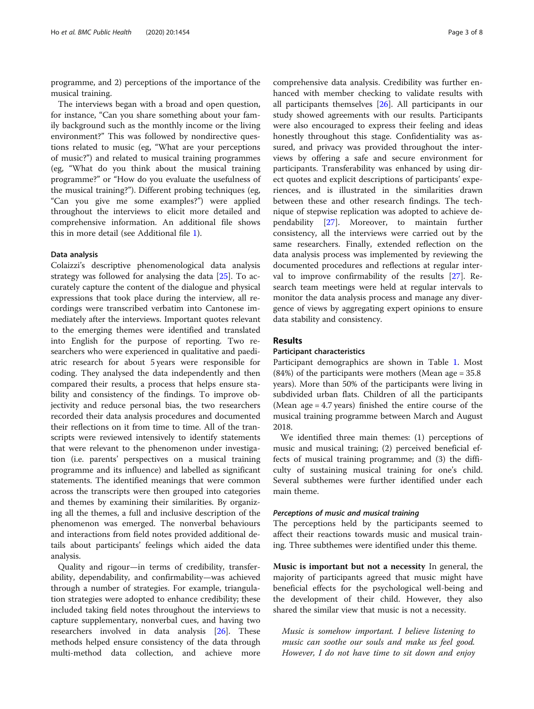programme, and 2) perceptions of the importance of the musical training.

The interviews began with a broad and open question, for instance, "Can you share something about your family background such as the monthly income or the living environment?" This was followed by nondirective questions related to music (eg, "What are your perceptions of music?") and related to musical training programmes (eg, "What do you think about the musical training programme?" or "How do you evaluate the usefulness of the musical training?"). Different probing techniques (eg, "Can you give me some examples?") were applied throughout the interviews to elicit more detailed and comprehensive information. An additional file shows this in more detail (see Additional file [1\)](#page-6-0).

# Data analysis

Colaizzi's descriptive phenomenological data analysis strategy was followed for analysing the data [[25](#page-7-0)]. To accurately capture the content of the dialogue and physical expressions that took place during the interview, all recordings were transcribed verbatim into Cantonese immediately after the interviews. Important quotes relevant to the emerging themes were identified and translated into English for the purpose of reporting. Two researchers who were experienced in qualitative and paediatric research for about 5 years were responsible for coding. They analysed the data independently and then compared their results, a process that helps ensure stability and consistency of the findings. To improve objectivity and reduce personal bias, the two researchers recorded their data analysis procedures and documented their reflections on it from time to time. All of the transcripts were reviewed intensively to identify statements that were relevant to the phenomenon under investigation (i.e. parents' perspectives on a musical training programme and its influence) and labelled as significant statements. The identified meanings that were common across the transcripts were then grouped into categories and themes by examining their similarities. By organizing all the themes, a full and inclusive description of the phenomenon was emerged. The nonverbal behaviours and interactions from field notes provided additional details about participants' feelings which aided the data analysis.

Quality and rigour—in terms of credibility, transferability, dependability, and confirmability—was achieved through a number of strategies. For example, triangulation strategies were adopted to enhance credibility; these included taking field notes throughout the interviews to capture supplementary, nonverbal cues, and having two researchers involved in data analysis [[26\]](#page-7-0). These methods helped ensure consistency of the data through multi-method data collection, and achieve more comprehensive data analysis. Credibility was further enhanced with member checking to validate results with all participants themselves [\[26](#page-7-0)]. All participants in our study showed agreements with our results. Participants were also encouraged to express their feeling and ideas honestly throughout this stage. Confidentiality was assured, and privacy was provided throughout the interviews by offering a safe and secure environment for participants. Transferability was enhanced by using direct quotes and explicit descriptions of participants' experiences, and is illustrated in the similarities drawn between these and other research findings. The technique of stepwise replication was adopted to achieve dependability [\[27\]](#page-7-0). Moreover, to maintain further consistency, all the interviews were carried out by the same researchers. Finally, extended reflection on the data analysis process was implemented by reviewing the documented procedures and reflections at regular interval to improve confirmability of the results [[27\]](#page-7-0). Research team meetings were held at regular intervals to monitor the data analysis process and manage any divergence of views by aggregating expert opinions to ensure data stability and consistency.

# Results

# Participant characteristics

Participant demographics are shown in Table [1](#page-3-0). Most  $(84%)$  of the participants were mothers (Mean age = 35.8) years). More than 50% of the participants were living in subdivided urban flats. Children of all the participants (Mean age = 4.7 years) finished the entire course of the musical training programme between March and August 2018.

We identified three main themes: (1) perceptions of music and musical training; (2) perceived beneficial effects of musical training programme; and (3) the difficulty of sustaining musical training for one's child. Several subthemes were further identified under each main theme.

# Perceptions of music and musical training

The perceptions held by the participants seemed to affect their reactions towards music and musical training. Three subthemes were identified under this theme.

Music is important but not a necessity In general, the majority of participants agreed that music might have beneficial effects for the psychological well-being and the development of their child. However, they also shared the similar view that music is not a necessity.

Music is somehow important. I believe listening to music can soothe our souls and make us feel good. However, I do not have time to sit down and enjoy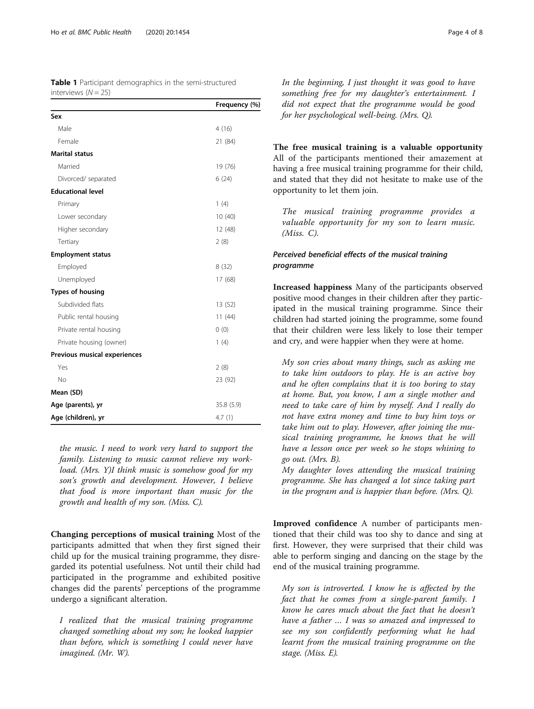<span id="page-3-0"></span>

| <b>Table 1</b> Participant demographics in the semi-structured |  |  |
|----------------------------------------------------------------|--|--|
| interviews $(N = 25)$                                          |  |  |

|                              | Frequency (%) |
|------------------------------|---------------|
| Sex                          |               |
| Male                         | 4(16)         |
| Female                       | 21 (84)       |
| <b>Marital status</b>        |               |
| Married                      | 19 (76)       |
| Divorced/ separated          | 6(24)         |
| <b>Educational level</b>     |               |
| Primary                      | 1(4)          |
| Lower secondary              | 10(40)        |
| Higher secondary             | 12 (48)       |
| Tertiary                     | 2(8)          |
| <b>Employment status</b>     |               |
| Employed                     | 8(32)         |
| Unemployed                   | 17 (68)       |
| <b>Types of housing</b>      |               |
| Subdivided flats             | 13 (52)       |
| Public rental housing        | 11(44)        |
| Private rental housing       | 0(0)          |
| Private housing (owner)      | 1(4)          |
| Previous musical experiences |               |
| Yes                          | 2(8)          |
| No                           | 23 (92)       |
| Mean (SD)                    |               |
| Age (parents), yr            | 35.8 (5.9)    |
| Age (children), yr           | 4.7(1)        |

the music. I need to work very hard to support the family. Listening to music cannot relieve my workload. (Mrs. Y)I think music is somehow good for my son's growth and development. However, I believe that food is more important than music for the growth and health of my son. (Miss. C).

Changing perceptions of musical training Most of the participants admitted that when they first signed their child up for the musical training programme, they disregarded its potential usefulness. Not until their child had participated in the programme and exhibited positive changes did the parents' perceptions of the programme undergo a significant alteration.

I realized that the musical training programme changed something about my son; he looked happier than before, which is something I could never have imagined. (Mr. W).

In the beginning, I just thought it was good to have something free for my daughter's entertainment. I did not expect that the programme would be good for her psychological well-being. (Mrs. Q).

The free musical training is a valuable opportunity All of the participants mentioned their amazement at having a free musical training programme for their child, and stated that they did not hesitate to make use of the opportunity to let them join.

The musical training programme provides a valuable opportunity for my son to learn music. (Miss. C).

# Perceived beneficial effects of the musical training programme

Increased happiness Many of the participants observed positive mood changes in their children after they participated in the musical training programme. Since their children had started joining the programme, some found that their children were less likely to lose their temper and cry, and were happier when they were at home.

My son cries about many things, such as asking me to take him outdoors to play. He is an active boy and he often complains that it is too boring to stay at home. But, you know, I am a single mother and need to take care of him by myself. And I really do not have extra money and time to buy him toys or take him out to play. However, after joining the musical training programme, he knows that he will have a lesson once per week so he stops whining to go out. (Mrs. B).

My daughter loves attending the musical training programme. She has changed a lot since taking part in the program and is happier than before. (Mrs. Q).

Improved confidence A number of participants mentioned that their child was too shy to dance and sing at first. However, they were surprised that their child was able to perform singing and dancing on the stage by the end of the musical training programme.

My son is introverted. I know he is affected by the fact that he comes from a single-parent family. I know he cares much about the fact that he doesn't have a father … I was so amazed and impressed to see my son confidently performing what he had learnt from the musical training programme on the stage. (Miss. E).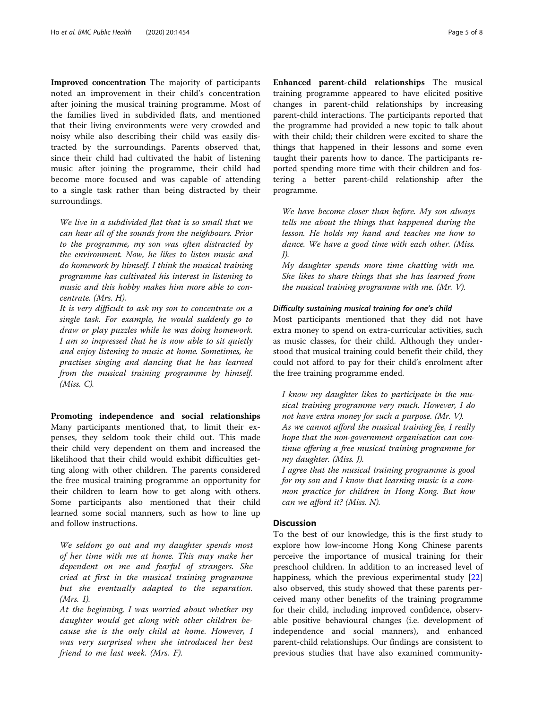Improved concentration The majority of participants noted an improvement in their child's concentration after joining the musical training programme. Most of the families lived in subdivided flats, and mentioned that their living environments were very crowded and noisy while also describing their child was easily distracted by the surroundings. Parents observed that, since their child had cultivated the habit of listening music after joining the programme, their child had become more focused and was capable of attending to a single task rather than being distracted by their surroundings.

We live in a subdivided flat that is so small that we can hear all of the sounds from the neighbours. Prior to the programme, my son was often distracted by the environment. Now, he likes to listen music and do homework by himself. I think the musical training programme has cultivated his interest in listening to music and this hobby makes him more able to concentrate. (Mrs. H).

It is very difficult to ask my son to concentrate on a single task. For example, he would suddenly go to draw or play puzzles while he was doing homework. I am so impressed that he is now able to sit quietly and enjoy listening to music at home. Sometimes, he practises singing and dancing that he has learned from the musical training programme by himself. (Miss. C).

Promoting independence and social relationships Many participants mentioned that, to limit their expenses, they seldom took their child out. This made their child very dependent on them and increased the likelihood that their child would exhibit difficulties getting along with other children. The parents considered the free musical training programme an opportunity for their children to learn how to get along with others. Some participants also mentioned that their child learned some social manners, such as how to line up and follow instructions.

We seldom go out and my daughter spends most of her time with me at home. This may make her dependent on me and fearful of strangers. She cried at first in the musical training programme but she eventually adapted to the separation. (Mrs. I).

At the beginning, I was worried about whether my daughter would get along with other children because she is the only child at home. However, I was very surprised when she introduced her best friend to me last week. (Mrs. F).

Enhanced parent-child relationships The musical training programme appeared to have elicited positive changes in parent-child relationships by increasing parent-child interactions. The participants reported that the programme had provided a new topic to talk about with their child; their children were excited to share the things that happened in their lessons and some even taught their parents how to dance. The participants reported spending more time with their children and fostering a better parent-child relationship after the programme.

We have become closer than before. My son always tells me about the things that happened during the lesson. He holds my hand and teaches me how to dance. We have a good time with each other. (Miss. J).

My daughter spends more time chatting with me. She likes to share things that she has learned from the musical training programme with me. (Mr. V).

### Difficulty sustaining musical training for one's child

Most participants mentioned that they did not have extra money to spend on extra-curricular activities, such as music classes, for their child. Although they understood that musical training could benefit their child, they could not afford to pay for their child's enrolment after the free training programme ended.

I know my daughter likes to participate in the musical training programme very much. However, I do not have extra money for such a purpose. (Mr. V). As we cannot afford the musical training fee, I really hope that the non-government organisation can continue offering a free musical training programme for my daughter. (Miss. J).

I agree that the musical training programme is good for my son and I know that learning music is a common practice for children in Hong Kong. But how can we afford it? (Miss. N).

# **Discussion**

To the best of our knowledge, this is the first study to explore how low-income Hong Kong Chinese parents perceive the importance of musical training for their preschool children. In addition to an increased level of happiness, which the previous experimental study [[22](#page-6-0)] also observed, this study showed that these parents perceived many other benefits of the training programme for their child, including improved confidence, observable positive behavioural changes (i.e. development of independence and social manners), and enhanced parent-child relationships. Our findings are consistent to previous studies that have also examined community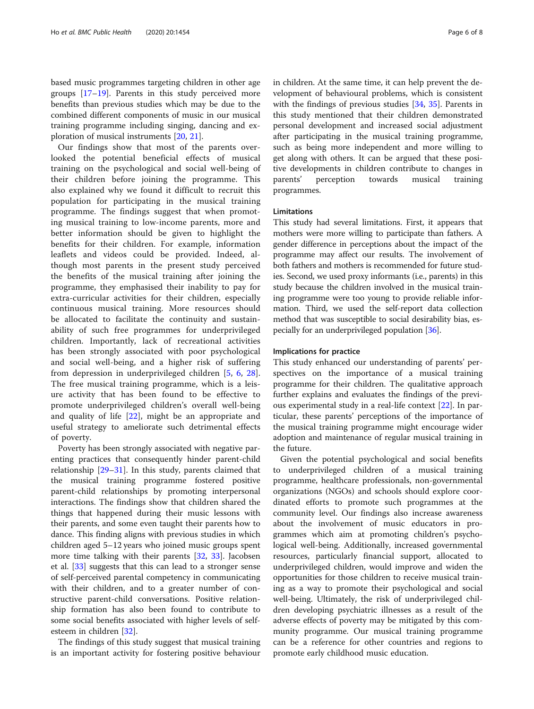based music programmes targeting children in other age groups [[17](#page-6-0)–[19](#page-6-0)]. Parents in this study perceived more benefits than previous studies which may be due to the combined different components of music in our musical training programme including singing, dancing and exploration of musical instruments [[20,](#page-6-0) [21\]](#page-6-0).

Our findings show that most of the parents overlooked the potential beneficial effects of musical training on the psychological and social well-being of their children before joining the programme. This also explained why we found it difficult to recruit this population for participating in the musical training programme. The findings suggest that when promoting musical training to low-income parents, more and better information should be given to highlight the benefits for their children. For example, information leaflets and videos could be provided. Indeed, although most parents in the present study perceived the benefits of the musical training after joining the programme, they emphasised their inability to pay for extra-curricular activities for their children, especially continuous musical training. More resources should be allocated to facilitate the continuity and sustainability of such free programmes for underprivileged children. Importantly, lack of recreational activities has been strongly associated with poor psychological and social well-being, and a higher risk of suffering from depression in underprivileged children [[5](#page-6-0), [6,](#page-6-0) [28](#page-7-0)]. The free musical training programme, which is a leisure activity that has been found to be effective to promote underprivileged children's overall well-being and quality of life [[22\]](#page-6-0), might be an appropriate and useful strategy to ameliorate such detrimental effects of poverty.

Poverty has been strongly associated with negative parenting practices that consequently hinder parent-child relationship [[29](#page-7-0)–[31](#page-7-0)]. In this study, parents claimed that the musical training programme fostered positive parent-child relationships by promoting interpersonal interactions. The findings show that children shared the things that happened during their music lessons with their parents, and some even taught their parents how to dance. This finding aligns with previous studies in which children aged 5–12 years who joined music groups spent more time talking with their parents [\[32](#page-7-0), [33](#page-7-0)]. Jacobsen et al. [\[33](#page-7-0)] suggests that this can lead to a stronger sense of self-perceived parental competency in communicating with their children, and to a greater number of constructive parent-child conversations. Positive relationship formation has also been found to contribute to some social benefits associated with higher levels of selfesteem in children [[32](#page-7-0)].

The findings of this study suggest that musical training is an important activity for fostering positive behaviour in children. At the same time, it can help prevent the development of behavioural problems, which is consistent with the findings of previous studies [[34,](#page-7-0) [35](#page-7-0)]. Parents in this study mentioned that their children demonstrated personal development and increased social adjustment after participating in the musical training programme, such as being more independent and more willing to get along with others. It can be argued that these positive developments in children contribute to changes in parents' perception towards musical training programmes.

# Limitations

This study had several limitations. First, it appears that mothers were more willing to participate than fathers. A gender difference in perceptions about the impact of the programme may affect our results. The involvement of both fathers and mothers is recommended for future studies. Second, we used proxy informants (i.e., parents) in this study because the children involved in the musical training programme were too young to provide reliable information. Third, we used the self-report data collection method that was susceptible to social desirability bias, especially for an underprivileged population [\[36](#page-7-0)].

# Implications for practice

This study enhanced our understanding of parents' perspectives on the importance of a musical training programme for their children. The qualitative approach further explains and evaluates the findings of the previous experimental study in a real-life context [[22\]](#page-6-0). In particular, these parents' perceptions of the importance of the musical training programme might encourage wider adoption and maintenance of regular musical training in the future.

Given the potential psychological and social benefits to underprivileged children of a musical training programme, healthcare professionals, non-governmental organizations (NGOs) and schools should explore coordinated efforts to promote such programmes at the community level. Our findings also increase awareness about the involvement of music educators in programmes which aim at promoting children's psychological well-being. Additionally, increased governmental resources, particularly financial support, allocated to underprivileged children, would improve and widen the opportunities for those children to receive musical training as a way to promote their psychological and social well-being. Ultimately, the risk of underprivileged children developing psychiatric illnesses as a result of the adverse effects of poverty may be mitigated by this community programme. Our musical training programme can be a reference for other countries and regions to promote early childhood music education.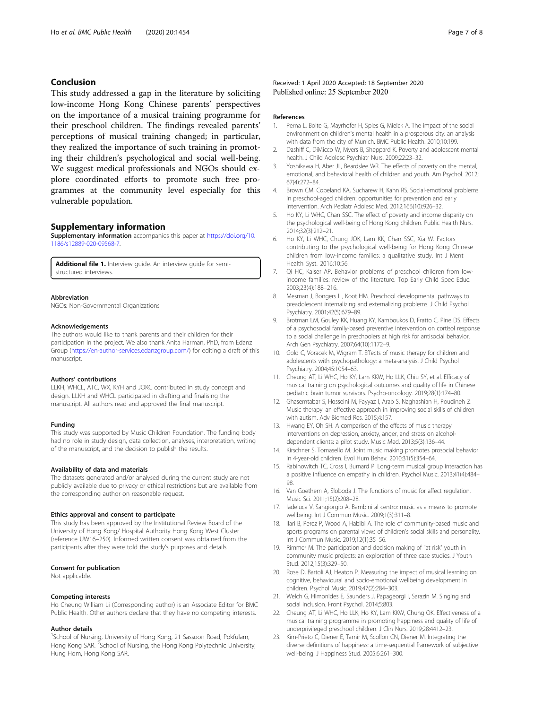# <span id="page-6-0"></span>Conclusion

This study addressed a gap in the literature by soliciting low-income Hong Kong Chinese parents' perspectives on the importance of a musical training programme for their preschool children. The findings revealed parents' perceptions of musical training changed; in particular, they realized the importance of such training in promoting their children's psychological and social well-being. We suggest medical professionals and NGOs should explore coordinated efforts to promote such free programmes at the community level especially for this vulnerable population.

### Supplementary information

Supplementary information accompanies this paper at [https://doi.org/10.](https://doi.org/10.1186/s12889-020-09568-7) [1186/s12889-020-09568-7](https://doi.org/10.1186/s12889-020-09568-7).

Additional file 1. Interview guide. An interview guide for semistructured interviews.

#### Abbreviation

NGOs: Non-Governmental Organizations

#### Acknowledgements

The authors would like to thank parents and their children for their participation in the project. We also thank Anita Harman, PhD, from Edanz Group ([https://en-author-services.edanzgroup.com/\)](https://en-author-services.edanzgroup.com/) for editing a draft of this manuscript.

#### Authors' contributions

LLKH, WHCL, ATC, WX, KYH and JOKC contributed in study concept and design. LLKH and WHCL participated in drafting and finalising the manuscript. All authors read and approved the final manuscript.

#### Funding

This study was supported by Music Children Foundation. The funding body had no role in study design, data collection, analyses, interpretation, writing of the manuscript, and the decision to publish the results.

#### Availability of data and materials

The datasets generated and/or analysed during the current study are not publicly available due to privacy or ethical restrictions but are available from the corresponding author on reasonable request.

#### Ethics approval and consent to participate

This study has been approved by the Institutional Review Board of the University of Hong Kong/ Hospital Authority Hong Kong West Cluster (reference UW16–250). Informed written consent was obtained from the participants after they were told the study's purposes and details.

#### Consent for publication

Not applicable.

#### Competing interests

Ho Cheung William Li (Corresponding author) is an Associate Editor for BMC Public Health. Other authors declare that they have no competing interests.

#### Author details

<sup>1</sup>School of Nursing, University of Hong Kong, 21 Sassoon Road, Pokfulam, Hong Kong SAR. <sup>2</sup>School of Nursing, the Hong Kong Polytechnic University, Hung Hom, Hong Kong SAR.

# Received: 1 April 2020 Accepted: 18 September 2020 Published online: 25 September 2020

#### References

- 1. Perna L, Bolte G, Mayrhofer H, Spies G, Mielck A. The impact of the social environment on children's mental health in a prosperous city: an analysis with data from the city of Munich. BMC Public Health. 2010;10:199.
- 2. Dashiff C, DiMicco W, Myers B, Sheppard K. Poverty and adolescent mental health. J Child Adolesc Psychiatr Nurs. 2009;22:23–32.
- 3. Yoshikawa H, Aber JL, Beardslee WR. The effects of poverty on the mental, emotional, and behavioral health of children and youth. Am Psychol. 2012; 67(4):272–84.
- 4. Brown CM, Copeland KA, Sucharew H, Kahn RS. Social-emotional problems in preschool-aged children: opportunities for prevention and early intervention. Arch Pediatr Adolesc Med. 2012;166(10):926–32.
- 5. Ho KY, Li WHC, Chan SSC. The effect of poverty and income disparity on the psychological well-being of Hong Kong children. Public Health Nurs. 2014;32(3):212–21.
- 6. Ho KY, Li WHC, Chung JOK, Lam KK, Chan SSC, Xia W. Factors contributing to the psychological well-being for Hong Kong Chinese children from low-income families: a qualitative study. Int J Ment Health Syst. 2016;10:56.
- 7. Qi HC, Kaiser AP. Behavior problems of preschool children from lowincome families: review of the literature. Top Early Child Spec Educ. 2003;23(4):188–216.
- 8. Mesman J, Bongers IL, Koot HM. Preschool developmental pathways to preadolescent internalizing and externalizing problems. J Child Psychol Psychiatry. 2001;42(5):679–89.
- 9. Brotman LM, Gouley KK, Huang KY, Kamboukos D, Fratto C, Pine DS. Effects of a psychosocial family-based preventive intervention on cortisol response to a social challenge in preschoolers at high risk for antisocial behavior. Arch Gen Psychiatry. 2007;64(10):1172–9.
- 10. Gold C, Voracek M, Wigram T. Effects of music therapy for children and adolescents with psychopathology: a meta-analysis. J Child Psychol Psychiatry. 2004;45:1054–63.
- 11. Cheung AT, Li WHC, Ho KY, Lam KKW, Ho LLK, Chiu SY, et al. Efficacy of musical training on psychological outcomes and quality of life in Chinese pediatric brain tumor survivors. Psycho-oncology. 2019;28(1):174–80.
- 12. Ghasemtabar S, Hosseini M, Fayyaz I, Arab S, Naghashian H, Poudineh Z. Music therapy: an effective approach in improving social skills of children with autism. Adv Biomed Res. 2015;4:157.
- 13. Hwang EY, Oh SH. A comparison of the effects of music therapy interventions on depression, anxiety, anger, and stress on alcoholdependent clients: a pilot study. Music Med. 2013;5(3):136–44.
- 14. Kirschner S, Tomasello M. Joint music making promotes prosocial behavior in 4-year-old children. Evol Hum Behav. 2010;31(5):354–64.
- 15. Rabinowitch TC, Cross I, Burnard P. Long-term musical group interaction has a positive influence on empathy in children. Psychol Music. 2013;41(4):484– **98**
- 16. Van Goethem A, Sloboda J. The functions of music for affect regulation. Music Sci. 2011;15(2):208–28.
- 17. Iadeluca V, Sangiorgio A. Bambini al centro: music as a means to promote wellbeing. Int J Commun Music. 2009;1(3):311–8.
- 18. Ilari B, Perez P, Wood A, Habibi A. The role of community-based music and sports programs on parental views of children's social skills and personality. Int J Commun Music. 2019;12(1):35–56.
- 19. Rimmer M. The participation and decision making of "at risk" youth in community music projects: an exploration of three case studies. J Youth Stud. 2012;15(3):329–50.
- 20. Rose D, Bartoli AJ, Heaton P. Measuring the impact of musical learning on cognitive, behavioural and socio-emotional wellbeing development in children. Psychol Music. 2019;47(2):284–303.
- 21. Welch G, Himonides E, Saunders J, Papageorgi I, Sarazin M. Singing and social inclusion. Front Psychol. 2014;5:803.
- 22. Cheung AT, Li WHC, Ho LLK, Ho KY, Lam KKW, Chung OK. Effectiveness of a musical training programme in promoting happiness and quality of life of underprivileged preschool children. J Clin Nurs. 2019;28:4412–23.
- 23. Kim-Prieto C, Diener E, Tamir M, Scollon CN, Diener M. Integrating the diverse definitions of happiness: a time-sequential framework of subjective well-being. J Happiness Stud. 2005;6:261–300.